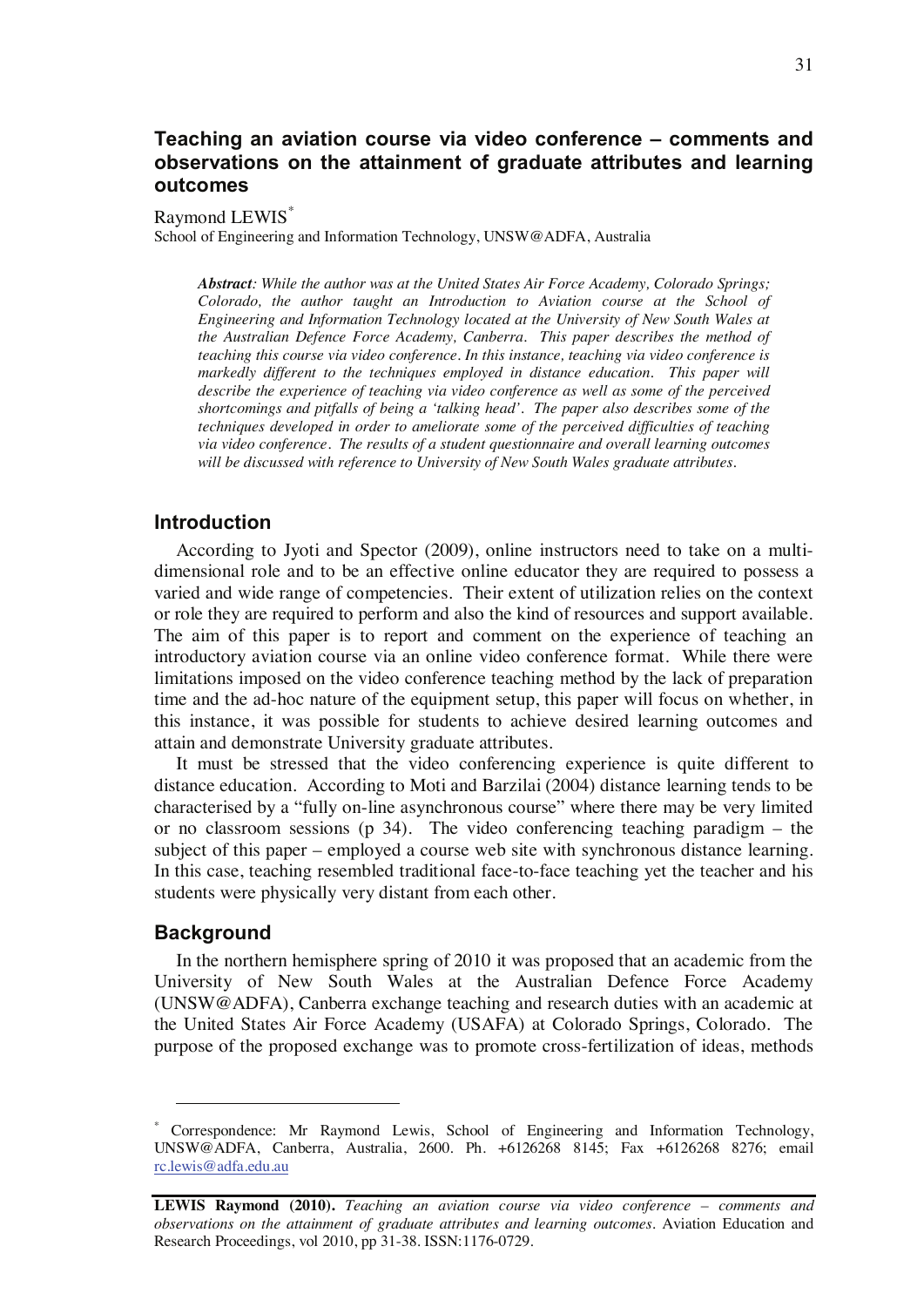## **Teaching an aviation course via video conference – comments and observations on the attainment of graduate attributes and learning outcomes**

#### Raymond LEWIS\*

School of Engineering and Information Technology, UNSW@ADFA, Australia

*Abstract: While the author was at the United States Air Force Academy, Colorado Springs; Colorado, the author taught an Introduction to Aviation course at the School of Engineering and Information Technology located at the University of New South Wales at the Australian Defence Force Academy, Canberra. This paper describes the method of teaching this course via video conference. In this instance, teaching via video conference is markedly different to the techniques employed in distance education. This paper will describe the experience of teaching via video conference as well as some of the perceived shortcomings and pitfalls of being a 'talking head'. The paper also describes some of the techniques developed in order to ameliorate some of the perceived difficulties of teaching via video conference. The results of a student questionnaire and overall learning outcomes will be discussed with reference to University of New South Wales graduate attributes.* 

## **Introduction**

According to Jyoti and Spector (2009), online instructors need to take on a multidimensional role and to be an effective online educator they are required to possess a varied and wide range of competencies. Their extent of utilization relies on the context or role they are required to perform and also the kind of resources and support available. The aim of this paper is to report and comment on the experience of teaching an introductory aviation course via an online video conference format. While there were limitations imposed on the video conference teaching method by the lack of preparation time and the ad-hoc nature of the equipment setup, this paper will focus on whether, in this instance, it was possible for students to achieve desired learning outcomes and attain and demonstrate University graduate attributes.

It must be stressed that the video conferencing experience is quite different to distance education. According to Moti and Barzilai (2004) distance learning tends to be characterised by a "fully on-line asynchronous course" where there may be very limited or no classroom sessions (p 34). The video conferencing teaching paradigm – the subject of this paper – employed a course web site with synchronous distance learning. In this case, teaching resembled traditional face-to-face teaching yet the teacher and his students were physically very distant from each other.

#### **Background**

 $\overline{a}$ 

In the northern hemisphere spring of 2010 it was proposed that an academic from the University of New South Wales at the Australian Defence Force Academy (UNSW@ADFA), Canberra exchange teaching and research duties with an academic at the United States Air Force Academy (USAFA) at Colorado Springs, Colorado. The purpose of the proposed exchange was to promote cross-fertilization of ideas, methods

<sup>\*</sup> Correspondence: Mr Raymond Lewis, School of Engineering and Information Technology, UNSW@ADFA, Canberra, Australia, 2600. Ph. +6126268 8145; Fax +6126268 8276; email rc.lewis@adfa.edu.au

**LEWIS Raymond (2010).** *Teaching an aviation course via video conference – comments and observations on the attainment of graduate attributes and learning outcomes.* Aviation Education and Research Proceedings, vol 2010, pp 31-38. ISSN:1176-0729.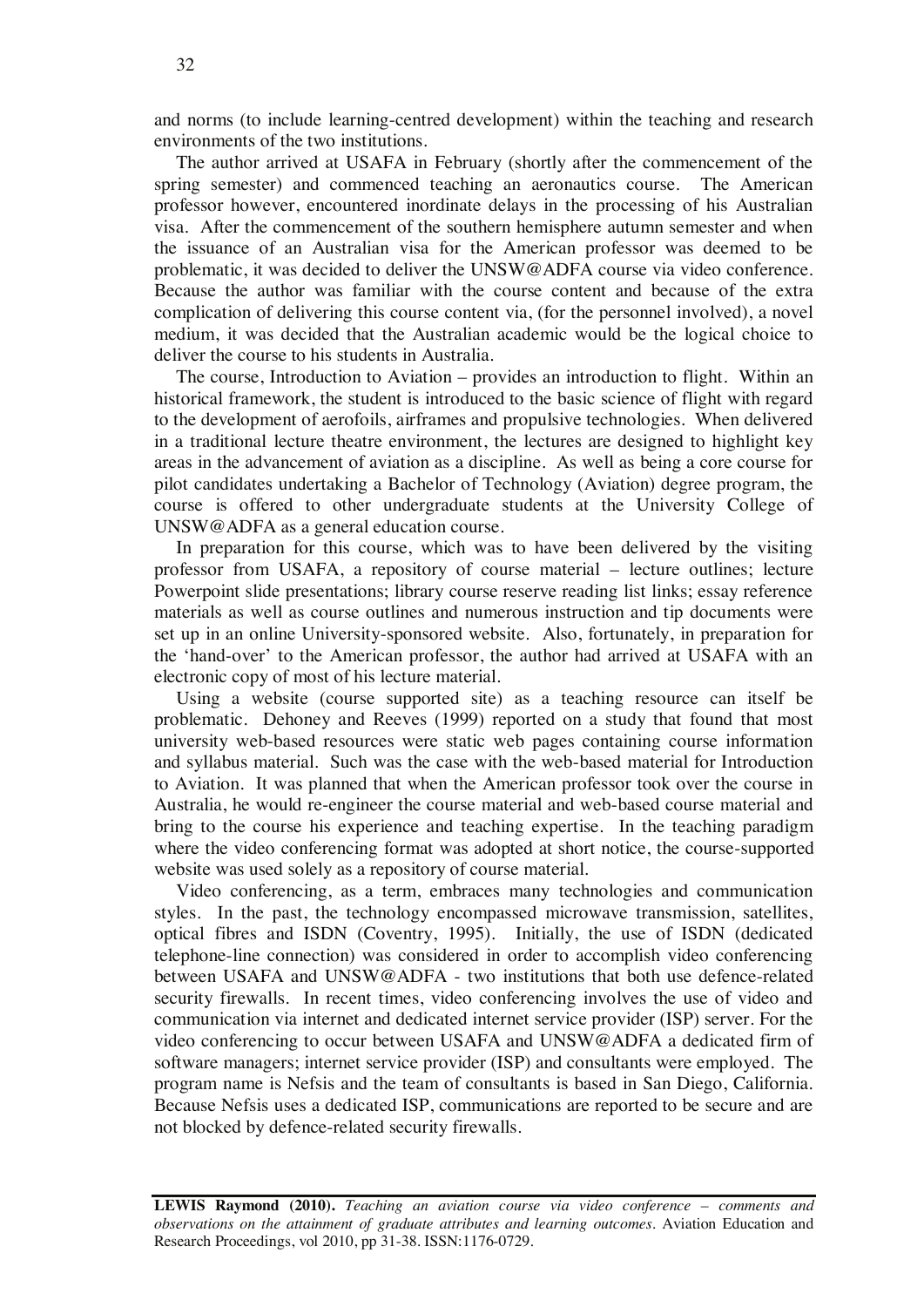and norms (to include learning-centred development) within the teaching and research environments of the two institutions.

The author arrived at USAFA in February (shortly after the commencement of the spring semester) and commenced teaching an aeronautics course. The American professor however, encountered inordinate delays in the processing of his Australian visa. After the commencement of the southern hemisphere autumn semester and when the issuance of an Australian visa for the American professor was deemed to be problematic, it was decided to deliver the UNSW@ADFA course via video conference. Because the author was familiar with the course content and because of the extra complication of delivering this course content via, (for the personnel involved), a novel medium, it was decided that the Australian academic would be the logical choice to deliver the course to his students in Australia.

The course, Introduction to Aviation – provides an introduction to flight. Within an historical framework, the student is introduced to the basic science of flight with regard to the development of aerofoils, airframes and propulsive technologies. When delivered in a traditional lecture theatre environment, the lectures are designed to highlight key areas in the advancement of aviation as a discipline. As well as being a core course for pilot candidates undertaking a Bachelor of Technology (Aviation) degree program, the course is offered to other undergraduate students at the University College of UNSW@ADFA as a general education course.

In preparation for this course, which was to have been delivered by the visiting professor from USAFA, a repository of course material – lecture outlines; lecture Powerpoint slide presentations; library course reserve reading list links; essay reference materials as well as course outlines and numerous instruction and tip documents were set up in an online University-sponsored website. Also, fortunately, in preparation for the 'hand-over' to the American professor, the author had arrived at USAFA with an electronic copy of most of his lecture material.

Using a website (course supported site) as a teaching resource can itself be problematic. Dehoney and Reeves (1999) reported on a study that found that most university web-based resources were static web pages containing course information and syllabus material. Such was the case with the web-based material for Introduction to Aviation. It was planned that when the American professor took over the course in Australia, he would re-engineer the course material and web-based course material and bring to the course his experience and teaching expertise. In the teaching paradigm where the video conferencing format was adopted at short notice, the course-supported website was used solely as a repository of course material.

Video conferencing, as a term, embraces many technologies and communication styles. In the past, the technology encompassed microwave transmission, satellites, optical fibres and ISDN (Coventry, 1995). Initially, the use of ISDN (dedicated telephone-line connection) was considered in order to accomplish video conferencing between USAFA and UNSW@ADFA - two institutions that both use defence-related security firewalls. In recent times, video conferencing involves the use of video and communication via internet and dedicated internet service provider (ISP) server. For the video conferencing to occur between USAFA and UNSW@ADFA a dedicated firm of software managers; internet service provider (ISP) and consultants were employed. The program name is Nefsis and the team of consultants is based in San Diego, California. Because Nefsis uses a dedicated ISP, communications are reported to be secure and are not blocked by defence-related security firewalls.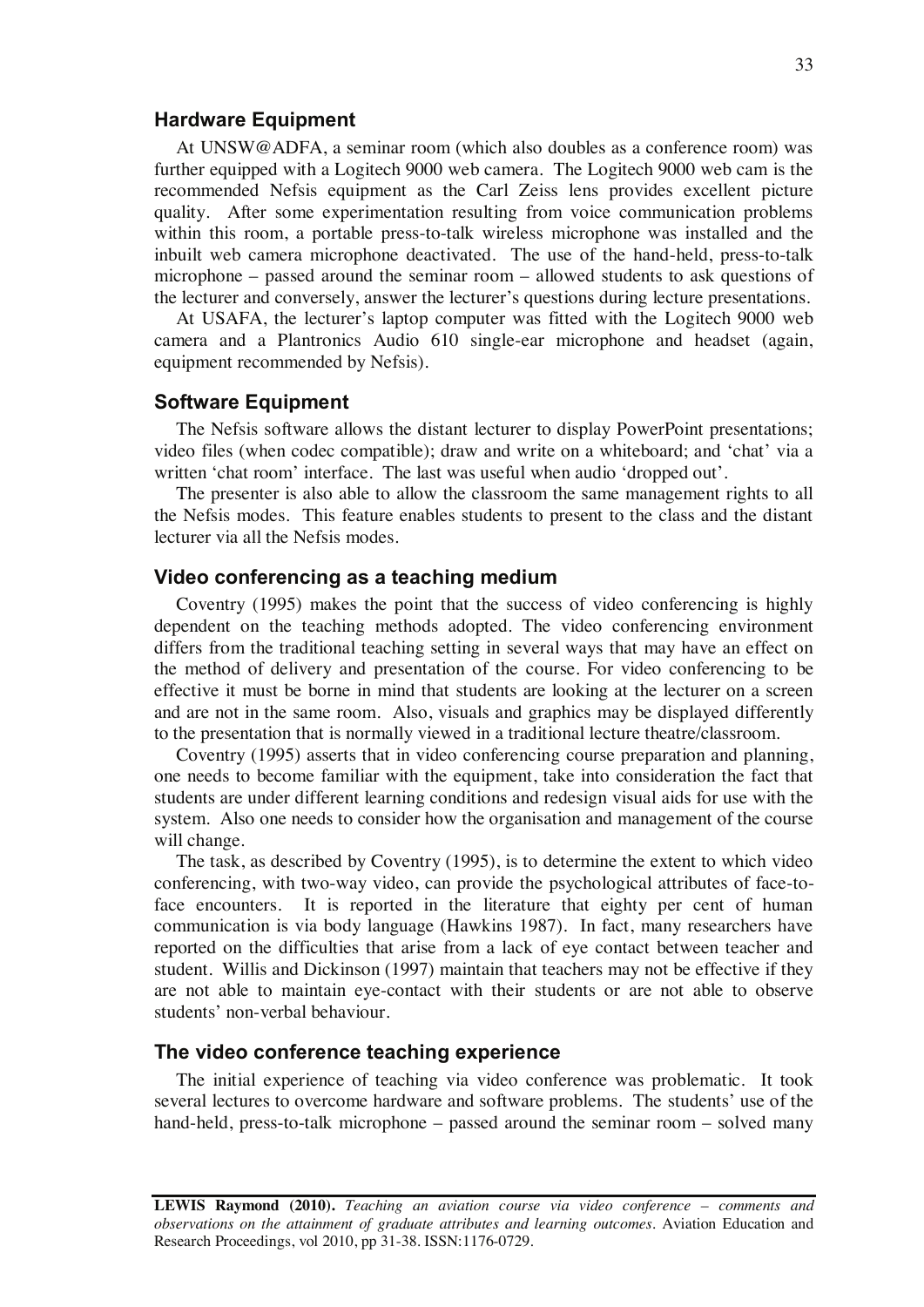#### **Hardware Equipment**

At UNSW@ADFA, a seminar room (which also doubles as a conference room) was further equipped with a Logitech 9000 web camera. The Logitech 9000 web cam is the recommended Nefsis equipment as the Carl Zeiss lens provides excellent picture quality. After some experimentation resulting from voice communication problems within this room, a portable press-to-talk wireless microphone was installed and the inbuilt web camera microphone deactivated. The use of the hand-held, press-to-talk microphone – passed around the seminar room – allowed students to ask questions of the lecturer and conversely, answer the lecturer's questions during lecture presentations.

At USAFA, the lecturer's laptop computer was fitted with the Logitech 9000 web camera and a Plantronics Audio 610 single-ear microphone and headset (again, equipment recommended by Nefsis).

#### **Software Equipment**

The Nefsis software allows the distant lecturer to display PowerPoint presentations; video files (when codec compatible); draw and write on a whiteboard; and 'chat' via a written 'chat room' interface. The last was useful when audio 'dropped out'.

The presenter is also able to allow the classroom the same management rights to all the Nefsis modes. This feature enables students to present to the class and the distant lecturer via all the Nefsis modes.

#### **Video conferencing as a teaching medium**

Coventry (1995) makes the point that the success of video conferencing is highly dependent on the teaching methods adopted. The video conferencing environment differs from the traditional teaching setting in several ways that may have an effect on the method of delivery and presentation of the course. For video conferencing to be effective it must be borne in mind that students are looking at the lecturer on a screen and are not in the same room. Also, visuals and graphics may be displayed differently to the presentation that is normally viewed in a traditional lecture theatre/classroom.

Coventry (1995) asserts that in video conferencing course preparation and planning, one needs to become familiar with the equipment, take into consideration the fact that students are under different learning conditions and redesign visual aids for use with the system. Also one needs to consider how the organisation and management of the course will change.

The task, as described by Coventry (1995), is to determine the extent to which video conferencing, with two-way video, can provide the psychological attributes of face-toface encounters. It is reported in the literature that eighty per cent of human communication is via body language (Hawkins 1987). In fact, many researchers have reported on the difficulties that arise from a lack of eye contact between teacher and student. Willis and Dickinson (1997) maintain that teachers may not be effective if they are not able to maintain eye-contact with their students or are not able to observe students' non-verbal behaviour.

#### **The video conference teaching experience**

The initial experience of teaching via video conference was problematic. It took several lectures to overcome hardware and software problems. The students' use of the hand-held, press-to-talk microphone – passed around the seminar room – solved many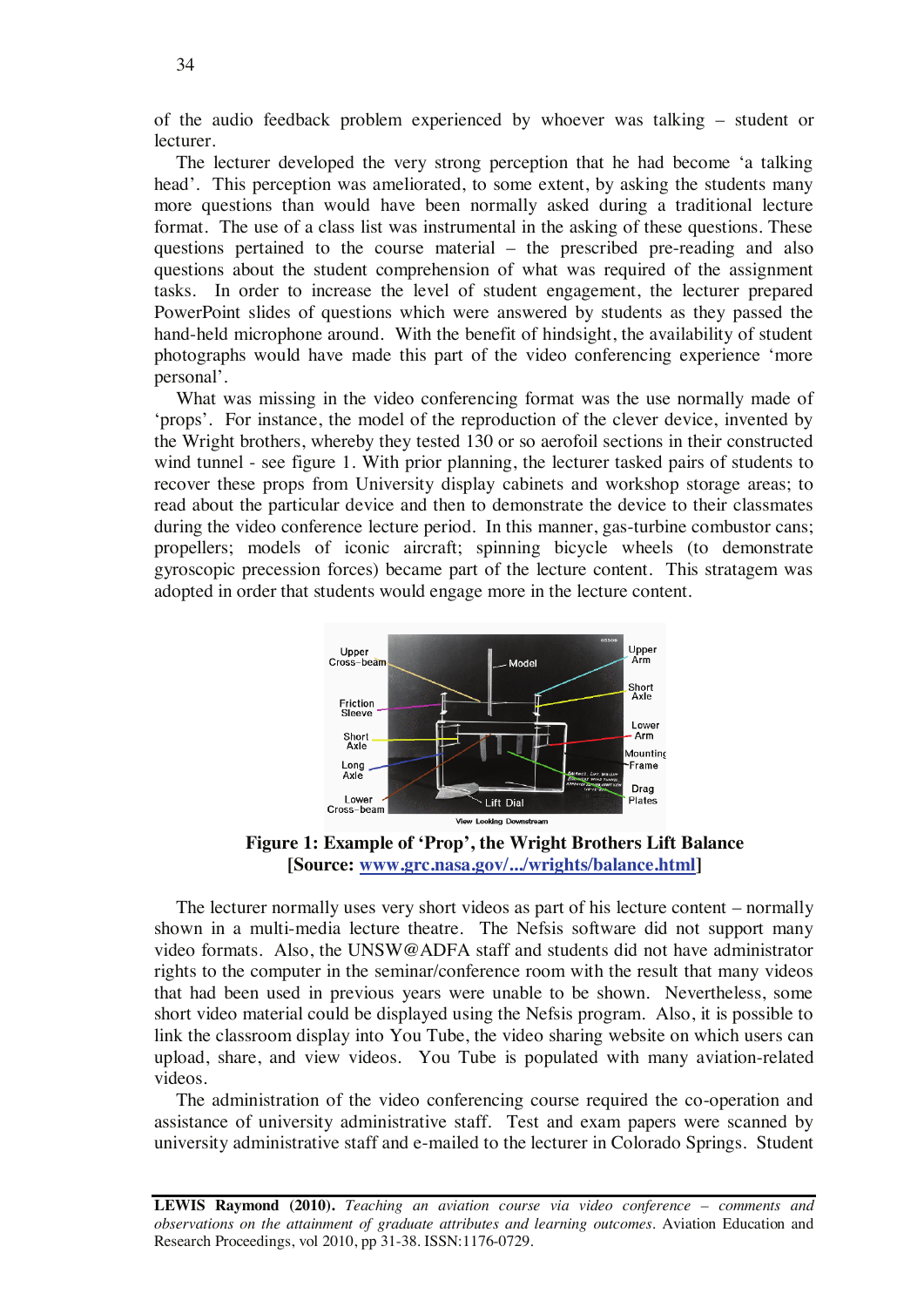of the audio feedback problem experienced by whoever was talking – student or lecturer.

The lecturer developed the very strong perception that he had become 'a talking head'. This perception was ameliorated, to some extent, by asking the students many more questions than would have been normally asked during a traditional lecture format. The use of a class list was instrumental in the asking of these questions. These questions pertained to the course material – the prescribed pre-reading and also questions about the student comprehension of what was required of the assignment tasks. In order to increase the level of student engagement, the lecturer prepared PowerPoint slides of questions which were answered by students as they passed the hand-held microphone around. With the benefit of hindsight, the availability of student photographs would have made this part of the video conferencing experience 'more personal'.

What was missing in the video conferencing format was the use normally made of 'props'. For instance, the model of the reproduction of the clever device, invented by the Wright brothers, whereby they tested 130 or so aerofoil sections in their constructed wind tunnel - see figure 1. With prior planning, the lecturer tasked pairs of students to recover these props from University display cabinets and workshop storage areas; to read about the particular device and then to demonstrate the device to their classmates during the video conference lecture period. In this manner, gas-turbine combustor cans; propellers; models of iconic aircraft; spinning bicycle wheels (to demonstrate gyroscopic precession forces) became part of the lecture content. This stratagem was adopted in order that students would engage more in the lecture content.



**Figure 1: Example of 'Prop', the Wright Brothers Lift Balance [Source: www.grc.nasa.gov/.../wrights/balance.html]** 

The lecturer normally uses very short videos as part of his lecture content – normally shown in a multi-media lecture theatre. The Nefsis software did not support many video formats. Also, the UNSW@ADFA staff and students did not have administrator rights to the computer in the seminar/conference room with the result that many videos that had been used in previous years were unable to be shown. Nevertheless, some short video material could be displayed using the Nefsis program. Also, it is possible to link the classroom display into You Tube, the video sharing website on which users can upload, share, and view videos. You Tube is populated with many aviation-related videos.

The administration of the video conferencing course required the co-operation and assistance of university administrative staff. Test and exam papers were scanned by university administrative staff and e-mailed to the lecturer in Colorado Springs. Student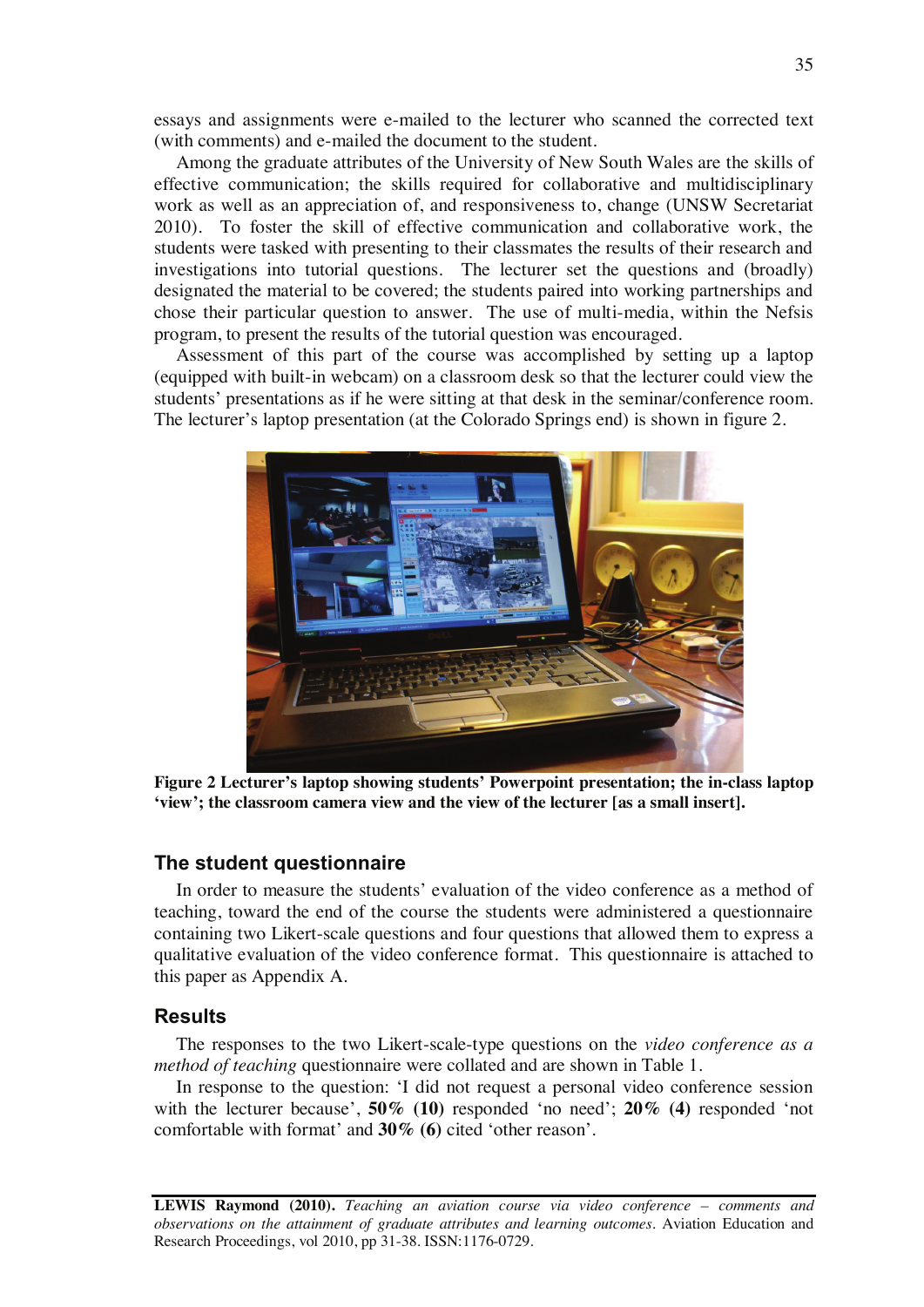essays and assignments were e-mailed to the lecturer who scanned the corrected text (with comments) and e-mailed the document to the student.

Among the graduate attributes of the University of New South Wales are the skills of effective communication; the skills required for collaborative and multidisciplinary work as well as an appreciation of, and responsiveness to, change (UNSW Secretariat 2010). To foster the skill of effective communication and collaborative work, the students were tasked with presenting to their classmates the results of their research and investigations into tutorial questions. The lecturer set the questions and (broadly) designated the material to be covered; the students paired into working partnerships and chose their particular question to answer. The use of multi-media, within the Nefsis program, to present the results of the tutorial question was encouraged.

Assessment of this part of the course was accomplished by setting up a laptop (equipped with built-in webcam) on a classroom desk so that the lecturer could view the students' presentations as if he were sitting at that desk in the seminar/conference room. The lecturer's laptop presentation (at the Colorado Springs end) is shown in figure 2.



**Figure 2 Lecturer's laptop showing students' Powerpoint presentation; the in-class laptop 'view'; the classroom camera view and the view of the lecturer [as a small insert].** 

## **The student questionnaire**

In order to measure the students' evaluation of the video conference as a method of teaching, toward the end of the course the students were administered a questionnaire containing two Likert-scale questions and four questions that allowed them to express a qualitative evaluation of the video conference format. This questionnaire is attached to this paper as Appendix A.

#### **Results**

The responses to the two Likert-scale-type questions on the *video conference as a method of teaching* questionnaire were collated and are shown in Table 1.

In response to the question: 'I did not request a personal video conference session with the lecturer because', **50% (10)** responded 'no need'; **20% (4)** responded 'not comfortable with format' and **30% (6)** cited 'other reason'.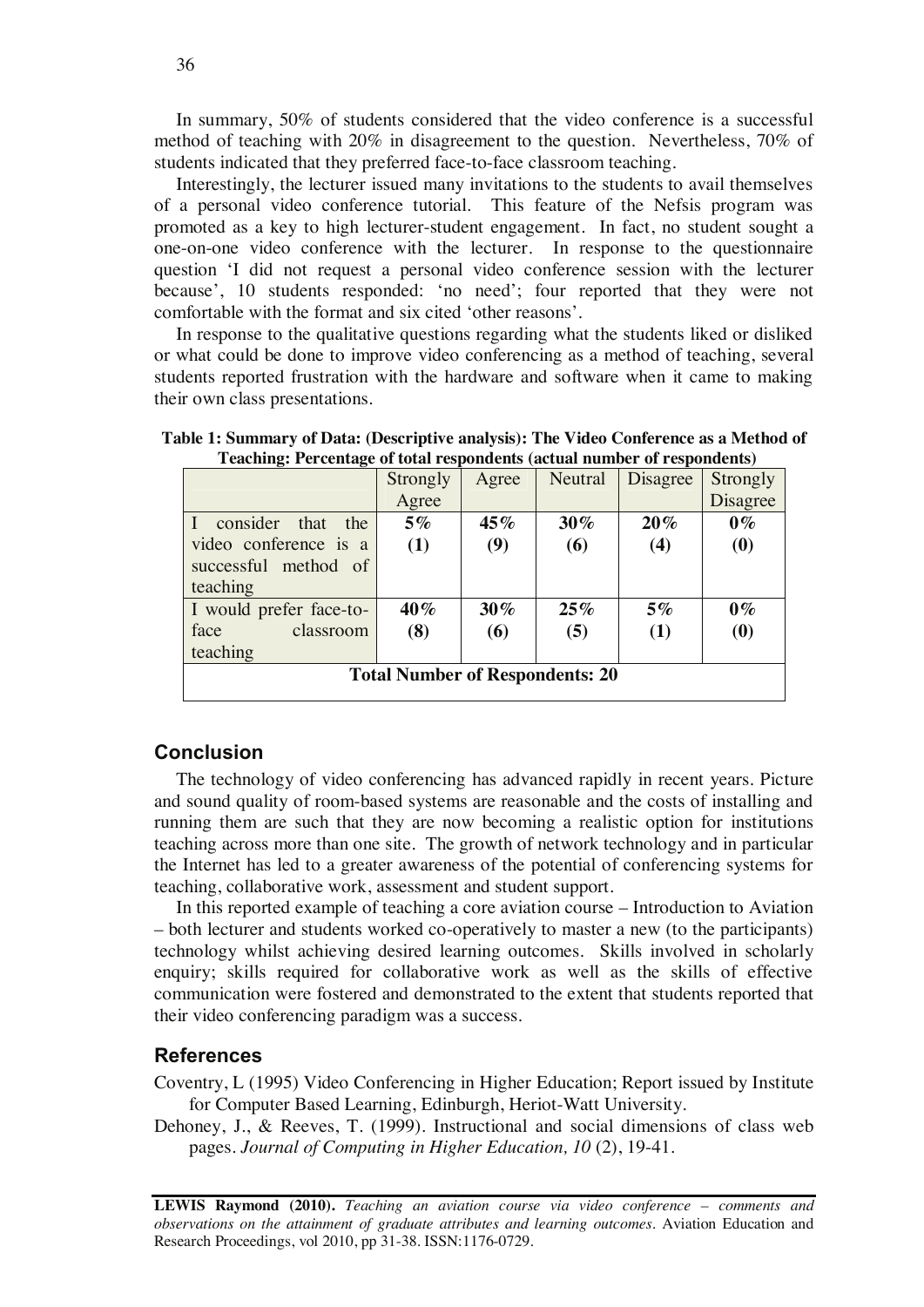In summary, 50% of students considered that the video conference is a successful method of teaching with 20% in disagreement to the question. Nevertheless, 70% of students indicated that they preferred face-to-face classroom teaching.

Interestingly, the lecturer issued many invitations to the students to avail themselves of a personal video conference tutorial. This feature of the Nefsis program was promoted as a key to high lecturer-student engagement. In fact, no student sought a one-on-one video conference with the lecturer. In response to the questionnaire question 'I did not request a personal video conference session with the lecturer because', 10 students responded: 'no need'; four reported that they were not comfortable with the format and six cited 'other reasons'.

In response to the qualitative questions regarding what the students liked or disliked or what could be done to improve video conferencing as a method of teaching, several students reported frustration with the hardware and software when it came to making their own class presentations.

| Teaching. I creditage of total respondents (actual number of respondents) |          |        |         |          |                               |  |  |
|---------------------------------------------------------------------------|----------|--------|---------|----------|-------------------------------|--|--|
|                                                                           | Strongly | Agree  | Neutral | Disagree | Strongly                      |  |  |
|                                                                           | Agree    |        |         |          | Disagree                      |  |  |
| consider that<br>the                                                      | $5\%$    | 45%    | $30\%$  | $20\%$   | $0\%$                         |  |  |
| video conference is a                                                     | (1)      | (9)    | (6)     | (4)      | $\boldsymbol{\left(0\right)}$ |  |  |
| successful method of                                                      |          |        |         |          |                               |  |  |
| teaching                                                                  |          |        |         |          |                               |  |  |
| I would prefer face-to-                                                   | 40%      | $30\%$ | 25%     | $5\%$    | $0\%$                         |  |  |
| classroom<br>face                                                         | (8)      | (6)    | (5)     | (1)      | (0)                           |  |  |
| teaching                                                                  |          |        |         |          |                               |  |  |
| <b>Total Number of Respondents: 20</b>                                    |          |        |         |          |                               |  |  |

**Table 1: Summary of Data: (Descriptive analysis): The Video Conference as a Method of Teaching: Percentage of total respondents (actual number of respondents)** 

## **Conclusion**

The technology of video conferencing has advanced rapidly in recent years. Picture and sound quality of room-based systems are reasonable and the costs of installing and running them are such that they are now becoming a realistic option for institutions teaching across more than one site. The growth of network technology and in particular the Internet has led to a greater awareness of the potential of conferencing systems for teaching, collaborative work, assessment and student support.

In this reported example of teaching a core aviation course – Introduction to Aviation – both lecturer and students worked co-operatively to master a new (to the participants) technology whilst achieving desired learning outcomes. Skills involved in scholarly enquiry; skills required for collaborative work as well as the skills of effective communication were fostered and demonstrated to the extent that students reported that their video conferencing paradigm was a success.

## **References**

Coventry, L (1995) Video Conferencing in Higher Education; Report issued by Institute for Computer Based Learning, Edinburgh, Heriot-Watt University.

Dehoney, J., & Reeves, T. (1999). Instructional and social dimensions of class web pages. *Journal of Computing in Higher Education, 10* (2), 19-41.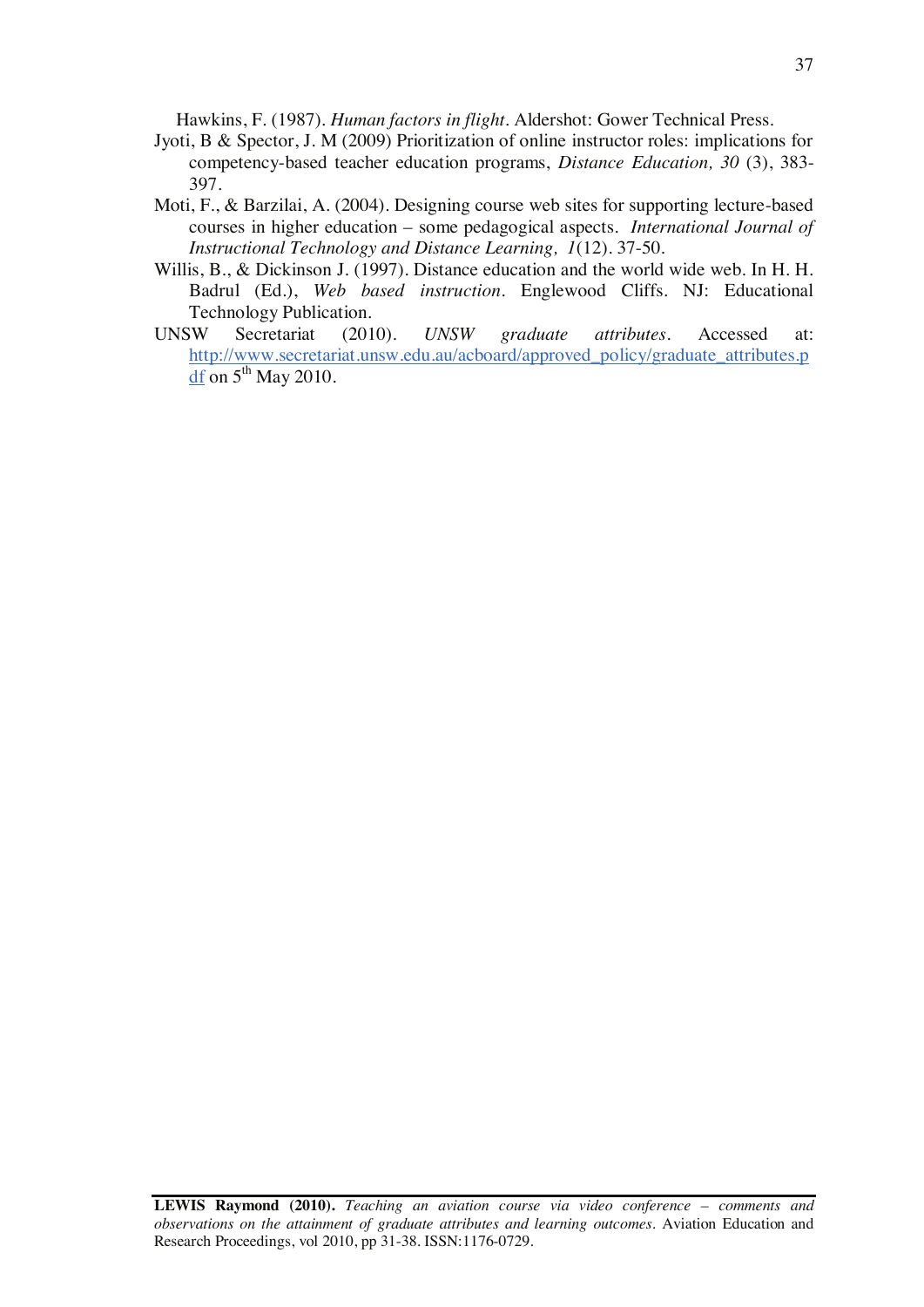Hawkins, F. (1987). *Human factors in flight*. Aldershot: Gower Technical Press.

- Jyoti, B & Spector, J. M (2009) Prioritization of online instructor roles: implications for competency-based teacher education programs, *Distance Education, 30* (3), 383- 397.
- Moti, F., & Barzilai, A. (2004). Designing course web sites for supporting lecture-based courses in higher education – some pedagogical aspects. *International Journal of Instructional Technology and Distance Learning, 1*(12). 37-50.
- Willis, B., & Dickinson J. (1997). Distance education and the world wide web. In H. H. Badrul (Ed.), *Web based instruction.* Englewood Cliffs. NJ: Educational Technology Publication.
- UNSW Secretariat (2010). *UNSW graduate attributes*. Accessed at: http://www.secretariat.unsw.edu.au/acboard/approved\_policy/graduate\_attributes.p  $df$  on  $5<sup>th</sup>$  May 2010.